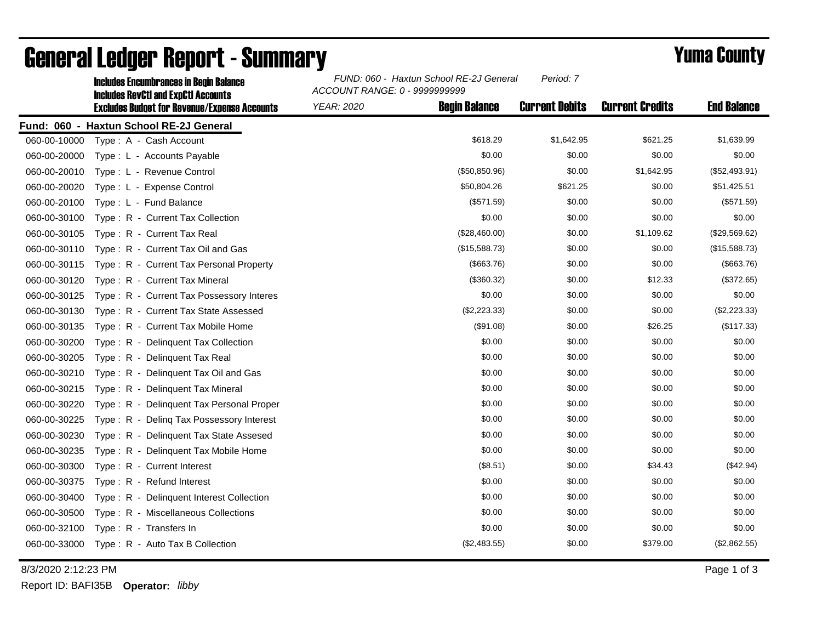|              | <b>Includes Encumbrances in Begin Balance</b><br><b>Includes RevCtI and ExpCtI Accounts</b> | ACCOUNT RANGE: 0 - 9999999999 | FUND: 060 - Haxtun School RE-2J General |                       |                        |                    |
|--------------|---------------------------------------------------------------------------------------------|-------------------------------|-----------------------------------------|-----------------------|------------------------|--------------------|
|              | <b>Excludes Budget for Revenue/Expense Accounts</b>                                         | <b>YEAR: 2020</b>             | <b>Begin Balance</b>                    | <b>Current Debits</b> | <b>Current Credits</b> | <b>End Balance</b> |
|              | Fund: 060 - Haxtun School RE-2J General                                                     |                               |                                         |                       |                        |                    |
| 060-00-10000 | Type: A - Cash Account                                                                      |                               | \$618.29                                | \$1,642.95            | \$621.25               | \$1,639.99         |
| 060-00-20000 | Type: L - Accounts Payable                                                                  |                               | \$0.00                                  | \$0.00                | \$0.00                 | \$0.00             |
| 060-00-20010 | Type: L - Revenue Control                                                                   |                               | (\$50,850.96)                           | \$0.00                | \$1,642.95             | (\$52,493.91)      |
| 060-00-20020 | Type: L - Expense Control                                                                   |                               | \$50,804.26                             | \$621.25              | \$0.00                 | \$51,425.51        |
| 060-00-20100 | Type: L - Fund Balance                                                                      |                               | (\$571.59)                              | \$0.00                | \$0.00                 | (\$571.59)         |
| 060-00-30100 | Type: R - Current Tax Collection                                                            |                               | \$0.00                                  | \$0.00                | \$0.00                 | \$0.00             |
| 060-00-30105 | Type: R - Current Tax Real                                                                  |                               | (\$28,460.00)                           | \$0.00                | \$1,109.62             | (\$29,569.62)      |
| 060-00-30110 | Type: R - Current Tax Oil and Gas                                                           |                               | (\$15,588.73)                           | \$0.00                | \$0.00                 | (\$15,588.73)      |
| 060-00-30115 | Type: R - Current Tax Personal Property                                                     |                               | ( \$663.76)                             | \$0.00                | \$0.00                 | (\$663.76)         |
| 060-00-30120 | Type: R - Current Tax Mineral                                                               |                               | (\$360.32)                              | \$0.00                | \$12.33                | (\$372.65)         |
| 060-00-30125 | Type: R - Current Tax Possessory Interes                                                    |                               | \$0.00                                  | \$0.00                | \$0.00                 | \$0.00             |
| 060-00-30130 | Type: R - Current Tax State Assessed                                                        |                               | (\$2,223.33)                            | \$0.00                | \$0.00                 | (\$2,223.33)       |
| 060-00-30135 | Type: R - Current Tax Mobile Home                                                           |                               | (\$91.08)                               | \$0.00                | \$26.25                | (\$117.33)         |
| 060-00-30200 | Type: R - Delinquent Tax Collection                                                         |                               | \$0.00                                  | \$0.00                | \$0.00                 | \$0.00             |
| 060-00-30205 | Type: R - Delinguent Tax Real                                                               |                               | \$0.00                                  | \$0.00                | \$0.00                 | \$0.00             |
| 060-00-30210 | Type: R - Delinquent Tax Oil and Gas                                                        |                               | \$0.00                                  | \$0.00                | \$0.00                 | \$0.00             |
| 060-00-30215 | Type: R - Delinquent Tax Mineral                                                            |                               | \$0.00                                  | \$0.00                | \$0.00                 | \$0.00             |
| 060-00-30220 | Type: R - Delinguent Tax Personal Proper                                                    |                               | \$0.00                                  | \$0.00                | \$0.00                 | \$0.00             |
| 060-00-30225 | Type: R - Deling Tax Possessory Interest                                                    |                               | \$0.00                                  | \$0.00                | \$0.00                 | \$0.00             |
| 060-00-30230 | Type: R - Delinquent Tax State Assesed                                                      |                               | \$0.00                                  | \$0.00                | \$0.00                 | \$0.00             |
| 060-00-30235 | Type: R - Delinquent Tax Mobile Home                                                        |                               | \$0.00                                  | \$0.00                | \$0.00                 | \$0.00             |
| 060-00-30300 | Type: R - Current Interest                                                                  |                               | (\$8.51)                                | \$0.00                | \$34.43                | (\$42.94)          |
| 060-00-30375 | Type: R - Refund Interest                                                                   |                               | \$0.00                                  | \$0.00                | \$0.00                 | \$0.00             |
| 060-00-30400 | Type: R - Delinquent Interest Collection                                                    |                               | \$0.00                                  | \$0.00                | \$0.00                 | \$0.00             |
| 060-00-30500 | Type: R - Miscellaneous Collections                                                         |                               | \$0.00                                  | \$0.00                | \$0.00                 | \$0.00             |
| 060-00-32100 | Type: R - Transfers In                                                                      |                               | \$0.00                                  | \$0.00                | \$0.00                 | \$0.00             |
| 060-00-33000 | Type: R - Auto Tax B Collection                                                             |                               | (\$2,483.55)                            | \$0.00                | \$379.00               | (\$2,862.55)       |

## General Ledger Report - Summary **Example 2018** Yuma County

8/3/2020 2:12:23 PM Page 1 of 3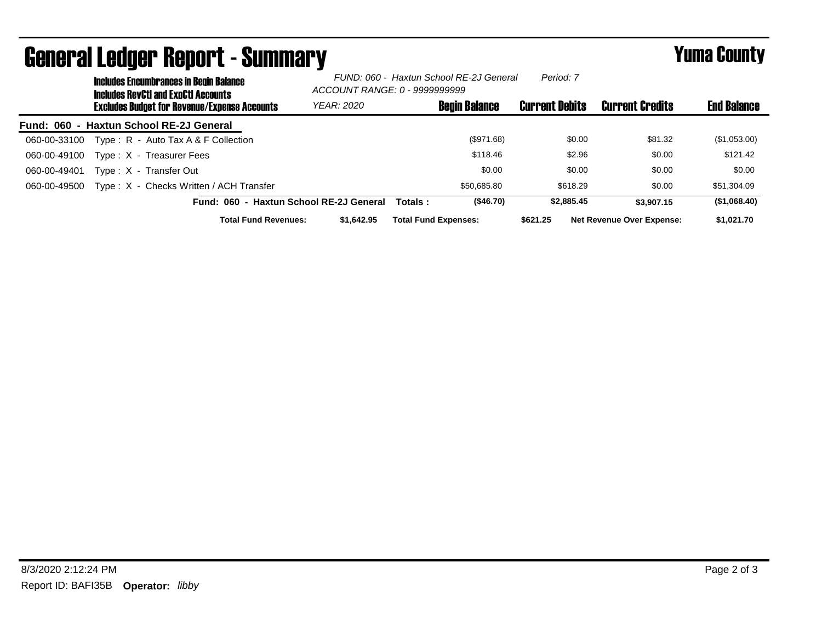|              |                                                     | <b>Includes Encumbrances in Begin Balance</b><br><b>Includes RevCtI and ExpCtI Accounts</b> | FUND: 060 - Haxtun School RE-2J General<br>ACCOUNT RANGE: 0 - 9999999999 |                             |                      | Period: 7             |                                  |                    |
|--------------|-----------------------------------------------------|---------------------------------------------------------------------------------------------|--------------------------------------------------------------------------|-----------------------------|----------------------|-----------------------|----------------------------------|--------------------|
|              | <b>Excludes Budget for Revenue/Expense Accounts</b> |                                                                                             | YEAR: 2020                                                               |                             | <b>Begin Balance</b> | <b>Current Debits</b> | <b>Current Credits</b>           | <b>End Balance</b> |
|              |                                                     | Fund: 060 - Haxtun School RE-2J General                                                     |                                                                          |                             |                      |                       |                                  |                    |
| 060-00-33100 |                                                     | Type: $R -$ Auto Tax A & F Collection                                                       |                                                                          |                             | (\$971.68)           | \$0.00                | \$81.32                          | (\$1,053.00)       |
| 060-00-49100 |                                                     | Type: X - Treasurer Fees                                                                    |                                                                          |                             | \$118.46             | \$2.96                | \$0.00                           | \$121.42           |
| 060-00-49401 |                                                     | Type: X - Transfer Out                                                                      |                                                                          |                             | \$0.00               | \$0.00                | \$0.00                           | \$0.00             |
| 060-00-49500 |                                                     | Type: X - Checks Written / ACH Transfer                                                     |                                                                          |                             | \$50.685.80          | \$618.29              | \$0.00                           | \$51,304.09        |
|              |                                                     | Fund: 060 - Haxtun School RE-2J General                                                     |                                                                          | Totals:                     | (\$46.70)            | \$2,885.45            | \$3,907.15                       | (\$1,068.40)       |
|              |                                                     | <b>Total Fund Revenues:</b>                                                                 | \$1,642.95                                                               | <b>Total Fund Expenses:</b> |                      | \$621.25              | <b>Net Revenue Over Expense:</b> | \$1.021.70         |

## General Ledger Report - Summary **Example 2018** Yuma County